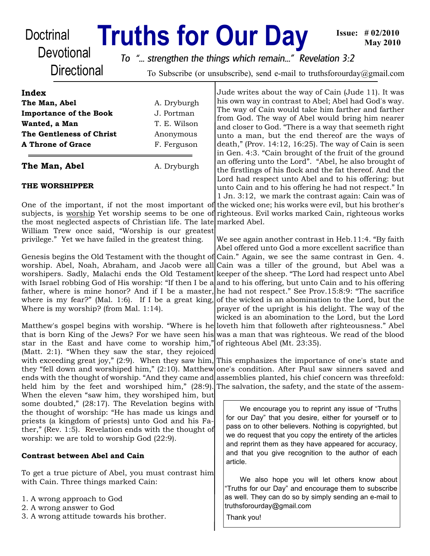# Doctrinal **Truths for Our Day**

**Devotional Directional** 

*To "... strengthen the things which remain..." Revelation 3:2*

To Subscribe (or unsubscribe), send e-mail to truthsforourday@gmail.com

| F. Ferguson  |
|--------------|
| Anonymous    |
| T. E. Wilson |
| J. Portman   |
| A. Dryburgh  |
|              |
|              |

# **THE WORSHIPPER**

One of the important, if not the most important of subjects, is worship Yet worship seems to be one of the most neglected aspects of Christian life. The late William Trew once said, "Worship is our greatest privilege." Yet we have failed in the greatest thing.

Genesis begins the Old Testament with the thought of worship. Abel, Noah, Abraham, and Jacob were all worshipers. Sadly, Malachi ends the Old Testament with Israel robbing God of His worship: "If then I be a|and to his offering, but unto Cain and to his offering father, where is mine honor? And if I be a master, he had not respect." See Prov.15:8:9: "The sacrifice where is my fear?" (Mal. 1:6). If I be a great king, Where is my worship? (from Mal. 1:14).

Matthew's gospel begins with worship. "Where is he loveth him that followeth after righteousness." Abel that is born King of the Jews? For we have seen his star in the East and have come to worship him," (Matt. 2:1). "When they saw the star, they rejoiced with exceeding great joy," (2:9). When they saw him, they "fell down and worshiped him," (2:10). Matthew ends with the thought of worship. "And they came and held him by the feet and worshiped him," (28:9). When the eleven "saw him, they worshiped him, but some doubted," (28:17). The Revelation begins with the thought of worship: "He has made us kings and priests (a kingdom of priests) unto God and his Father," (Rev. 1:5). Revelation ends with the thought of worship: we are told to worship God (22:9).

# **Contrast between Abel and Cain**

To get a true picture of Abel, you must contrast him with Cain. Three things marked Cain:

- 1. A wrong approach to God
- 2. A wrong answer to God
- 3. A wrong attitude towards his brother.

Jude writes about the way of Cain (Jude 11). It was his own way in contrast to Abel; Abel had God's way. The way of Cain would take him farther and farther from God. The way of Abel would bring him nearer and closer to God. "There is a way that seemeth right unto a man, but the end thereof are the ways of death," (Prov. 14:12, 16:25). The way of Cain is seen in Gen. 4:3. "Cain brought of the fruit of the ground an offering unto the Lord". "Abel, he also brought of the firstlings of his flock and the fat thereof. And the Lord had respect unto Abel and to his offering: but unto Cain and to his offering he had not respect." In 1 Jn. 3:12, we mark the contrast again: Cain was of the wicked one; his works were evil, but his brother's righteous. Evil works marked Cain, righteous works marked Abel.

We see again another contrast in Heb.11:4. "By faith Abel offered unto God a more excellent sacrifice than Cain." Again, we see the same contrast in Gen. 4. Cain was a tiller of the ground, but Abel was a keeper of the sheep. "The Lord had respect unto Abel of the wicked is an abomination to the Lord, but the prayer of the upright is his delight. The way of the wicked is an abomination to the Lord, but the Lord was a man that was righteous. We read of the blood of righteous Abel (Mt. 23:35).

This emphasizes the importance of one's state and one's condition. After Paul saw sinners saved and assemblies planted, his chief concern was threefold: The salvation, the safety, and the state of the assem-

We encourage you to reprint any issue of "Truths for our Day" that you desire, either for yourself or to pass on to other believers. Nothing is copyrighted, but we do request that you copy the entirety of the articles and reprint them as they have appeared for accuracy, and that you give recognition to the author of each article.

We also hope you will let others know about "Truths for our Day" and encourage them to subscribe as well. They can do so by simply sending an e-mail to truthsforourday@gmail.com

Thank you!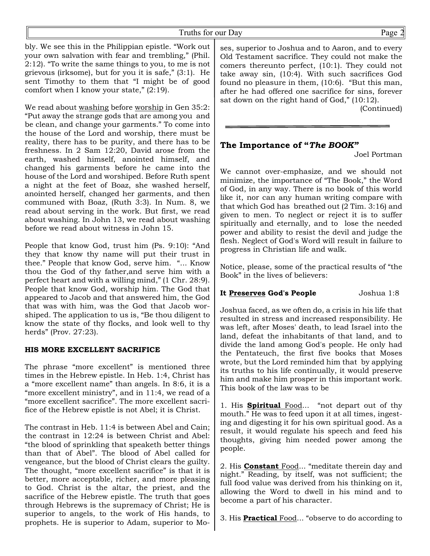bly. We see this in the Philippian epistle. "Work out your own salvation with fear and trembling," (Phil. 2:12). "To write the same things to you, to me is not grievous (irksome), but for you it is safe," (3:1). He sent Timothy to them that "I might be of good comfort when I know your state," (2:19).

We read about washing before worship in Gen 35:2: "Put away the strange gods that are among you and be clean, and change your garments." To come into the house of the Lord and worship, there must be reality, there has to be purity, and there has to be freshness. In 2 Sam 12:20, David arose from the earth, washed himself, anointed himself, and changed his garments before he came into the house of the Lord and worshiped. Before Ruth spent a night at the feet of Boaz, she washed herself, anointed herself, changed her garments, and then communed with Boaz, (Ruth 3:3). In Num. 8, we read about serving in the work. But first, we read about washing. In John 13, we read about washing before we read about witness in John 15.

People that know God, trust him (Ps. 9:10): "And they that know thy name will put their trust in thee." People that know God, serve him. "... Know thou the God of thy father,and serve him with a perfect heart and with a willing mind," (1 Chr. 28:9). People that know God, worship him. The God that appeared to Jacob and that answered him, the God that was with him, was the God that Jacob worshiped. The application to us is, "Be thou diligent to know the state of thy flocks, and look well to thy herds" (Prov. 27:23).

#### **HIS MORE EXCELLENT SACRIFICE**

The phrase "more excellent" is mentioned three times in the Hebrew epistle. In Heb. 1:4, Christ has a "more excellent name" than angels. In 8:6, it is a "more excellent ministry", and in 11:4, we read of a "more excellent sacrifice". The more excellent sacrifice of the Hebrew epistle is not Abel; it is Christ.

The contrast in Heb. 11:4 is between Abel and Cain; the contrast in 12:24 is between Christ and Abel: "the blood of sprinkling that speaketh better things than that of Abel". The blood of Abel called for vengeance, but the blood of Christ clears the guilty. The thought, "more excellent sacrifice" is that it is better, more acceptable, richer, and more pleasing to God. Christ is the altar, the priest, and the sacrifice of the Hebrew epistle. The truth that goes through Hebrews is the supremacy of Christ; He is superior to angels, to the work of His hands, to prophets. He is superior to Adam, superior to Mo-

ses, superior to Joshua and to Aaron, and to every Old Testament sacrifice. They could not make the comers thereunto perfect, (10:1). They could not take away sin, (10:4). With such sacrifices God found no pleasure in them, (10:6). "But this man, after he had offered one sacrifice for sins, forever sat down on the right hand of God," (10:12).

(Continued)

# **The Importance of "***The BOOK"*

Joel Portman

We cannot over-emphasize, and we should not minimize, the importance of "The Book," the Word of God, in any way. There is no book of this world like it, nor can any human writing compare with that which God has breathed out (2 Tim. 3:16) and given to men. To neglect or reject it is to suffer spiritually and eternally, and to lose the needed power and ability to resist the devil and judge the flesh. Neglect of God's Word will result in failure to progress in Christian life and walk.

Notice, please, some of the practical results of "the Book" in the lives of believers:

# **It Preserves God's People** Joshua 1:8

Joshua faced, as we often do, a crisis in his life that resulted in stress and increased responsibility. He was left, after Moses' death, to lead Israel into the land, defeat the inhabitants of that land, and to divide the land among God's people. He only had the Pentateuch, the first five books that Moses wrote, but the Lord reminded him that by applying its truths to his life continually, it would preserve him and make him prosper in this important work. This book of the law was to be

1. His **Spiritual** Food... "not depart out of thy mouth." He was to feed upon it at all times, ingesting and digesting it for his own spiritual good. As a result, it would regulate his speech and feed his thoughts, giving him needed power among the people.

2. His **Constant** Food... "meditate therein day and night." Reading, by itself, was not sufficient; the full food value was derived from his thinking on it, allowing the Word to dwell in his mind and to become a part of his character.

3. His **Practical** Food... "observe to do according to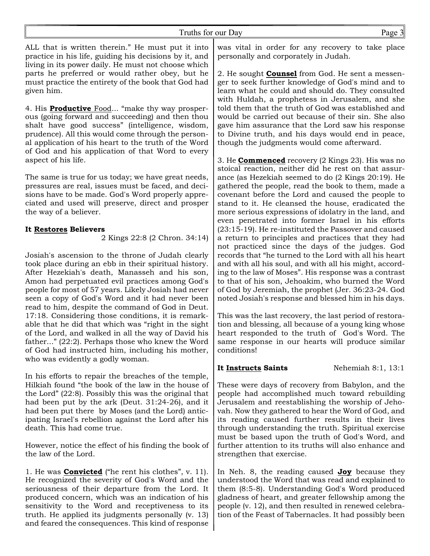ALL that is written therein." He must put it into practice in his life, guiding his decisions by it, and living in its power daily. He must not choose which parts he preferred or would rather obey, but he must practice the entirety of the book that God had given him.

4. His **Productive** Food... "make thy way prosperous (going forward and succeeding) and then thou shalt have good success" (intelligence, wisdom, prudence). All this would come through the personal application of his heart to the truth of the Word of God and his application of that Word to every aspect of his life.

The same is true for us today; we have great needs, pressures are real, issues must be faced, and decisions have to be made. God's Word properly appreciated and used will preserve, direct and prosper the way of a believer.

#### **It Restores Believers**

2 Kings 22:8 (2 Chron. 34:14)

Josiah's ascension to the throne of Judah clearly took place during an ebb in their spiritual history. After Hezekiah's death, Manasseh and his son, Amon had perpetuated evil practices among God's people for most of 57 years. Likely Josiah had never seen a copy of God's Word and it had never been read to him, despite the command of God in Deut. 17:18. Considering those conditions, it is remarkable that he did that which was "right in the sight of the Lord, and walked in all the way of David his father..." (22:2). Perhaps those who knew the Word of God had instructed him, including his mother, who was evidently a godly woman.

In his efforts to repair the breaches of the temple, Hilkiah found "the book of the law in the house of the Lord" (22:8). Possibly this was the original that had been put by the ark (Deut. 31:24-26), and it had been put there by Moses (and the Lord) anticipating Israel's rebellion against the Lord after his death. This had come true.

However, notice the effect of his finding the book of the law of the Lord.

1. He was **Convicted** ("he rent his clothes", v. 11). He recognized the severity of God's Word and the seriousness of their departure from the Lord. It produced concern, which was an indication of his sensitivity to the Word and receptiveness to its truth. He applied its judgments personally (v. 13) and feared the consequences. This kind of response was vital in order for any recovery to take place personally and corporately in Judah.

2. He sought **Counsel** from God. He sent a messenger to seek further knowledge of God's mind and to learn what he could and should do. They consulted with Huldah, a prophetess in Jerusalem, and she told them that the truth of God was established and would be carried out because of their sin. She also gave him assurance that the Lord saw his response to Divine truth, and his days would end in peace, though the judgments would come afterward.

3. He **Commenced** recovery (2 Kings 23). His was no stoical reaction, neither did he rest on that assurance (as Hezekiah seemed to do (2 Kings 20:19). He gathered the people, read the book to them, made a covenant before the Lord and caused the people to stand to it. He cleansed the house, eradicated the more serious expressions of idolatry in the land, and even penetrated into former Israel in his efforts (23:15-19). He re-instituted the Passover and caused a return to principles and practices that they had not practiced since the days of the judges. God records that "he turned to the Lord with all his heart and with all his soul, and with all his might, according to the law of Moses". His response was a contrast to that of his son, Jehoakim, who burned the Word of God by Jeremiah, the prophet (Jer. 36:23-24. God noted Josiah's response and blessed him in his days.

This was the last recovery, the last period of restoration and blessing, all because of a young king whose heart responded to the truth of God's Word. The same response in our hearts will produce similar conditions!

#### **It Instructs Saints** Nehemiah 8:1, 13:1

These were days of recovery from Babylon, and the people had accomplished much toward rebuilding Jerusalem and reestablishing the worship of Jehovah. Now they gathered to hear the Word of God, and its reading caused further results in their lives through understanding the truth. Spiritual exercise must be based upon the truth of God's Word, and further attention to its truths will also enhance and strengthen that exercise.

In Neh. 8, the reading caused **Joy** because they understood the Word that was read and explained to them (8:5-8). Understanding God's Word produced gladness of heart, and greater fellowship among the people (v. 12), and then resulted in renewed celebration of the Feast of Tabernacles. It had possibly been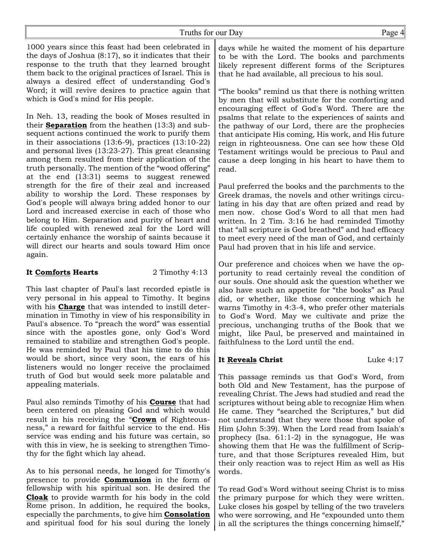## Truths for our Day Page 4

1000 years since this feast had been celebrated in the days of Joshua (8:17), so it indicates that their response to the truth that they learned brought them back to the original practices of Israel. This is always a desired effect of understanding God's Word; it will revive desires to practice again that which is God's mind for His people.

In Neh. 13, reading the book of Moses resulted in their **Separation** from the heathen (13:3) and subsequent actions continued the work to purify them in their associations (13:6-9), practices (13:10-22) and personal lives (13:23-27). This great cleansing among them resulted from their application of the truth personally. The mention of the "wood offering" at the end (13:31) seems to suggest renewed strength for the fire of their zeal and increased ability to worship the Lord. These responses by God's people will always bring added honor to our Lord and increased exercise in each of those who belong to Him. Separation and purity of heart and life coupled with renewed zeal for the Lord will certainly enhance the worship of saints because it will direct our hearts and souls toward Him once again.

### **It Comforts Hearts** 2 Timothy 4:13

This last chapter of Paul's last recorded epistle is very personal in his appeal to Timothy. It begins with his **Charge** that was intended to instill determination in Timothy in view of his responsibility in Paul's absence. To "preach the word" was essential since with the apostles gone, only God's Word remained to stabilize and strengthen God's people. He was reminded by Paul that his time to do this would be short, since very soon, the ears of his listeners would no longer receive the proclaimed truth of God but would seek more palatable and appealing materials.

Paul also reminds Timothy of his **Course** that had been centered on pleasing God and which would result in his receiving the "**Crown** of Righteousness," a reward for faithful service to the end. His service was ending and his future was certain, so with this in view, he is seeking to strengthen Timothy for the fight which lay ahead.

As to his personal needs, he longed for Timothy's presence to provide **Communion** in the form of fellowship with his spiritual son. He desired the **Cloak** to provide warmth for his body in the cold Rome prison. In addition, he required the books, especially the parchments, to give him **Consolation** and spiritual food for his soul during the lonely

days while he waited the moment of his departure to be with the Lord. The books and parchments likely represent different forms of the Scriptures that he had available, all precious to his soul.

"The books" remind us that there is nothing written by men that will substitute for the comforting and encouraging effect of God's Word. There are the psalms that relate to the experiences of saints and the pathway of our Lord, there are the prophecies that anticipate His coming, His work, and His future reign in righteousness. One can see how these Old Testament writings would be precious to Paul and cause a deep longing in his heart to have them to read.

Paul preferred the books and the parchments to the Greek dramas, the novels and other writings circulating in his day that are often prized and read by men now. chose God's Word to all that men had written. In 2 Tim. 3:16 he had reminded Timothy that "all scripture is God breathed" and had efficacy to meet every need of the man of God, and certainly Paul had proven that in his life and service.

Our preference and choices when we have the opportunity to read certainly reveal the condition of our souls. One should ask the question whether we also have such an appetite for "the books" as Paul did, or whether, like those concerning which he warns Timothy in 4:3-4, who prefer other materials to God's Word. May we cultivate and prize the precious, unchanging truths of the Book that we might, like Paul, be preserved and maintained in faithfulness to the Lord until the end.

# **It Reveals Christ** Luke 4:17

This passage reminds us that God's Word, from both Old and New Testament, has the purpose of revealing Christ. The Jews had studied and read the scriptures without being able to recognize Him when He came. They "searched the Scriptures," but did not understand that they were those that spoke of Him (John 5:39). When the Lord read from Isaiah's prophecy (Isa. 61:1-2) in the synagogue, He was showing them that He was the fulfillment of Scripture, and that those Scriptures revealed Him, but their only reaction was to reject Him as well as His words.

To read God's Word without seeing Christ is to miss the primary purpose for which they were written. Luke closes his gospel by telling of the two travelers who were sorrowing, and He "expounded unto them in all the scriptures the things concerning himself,"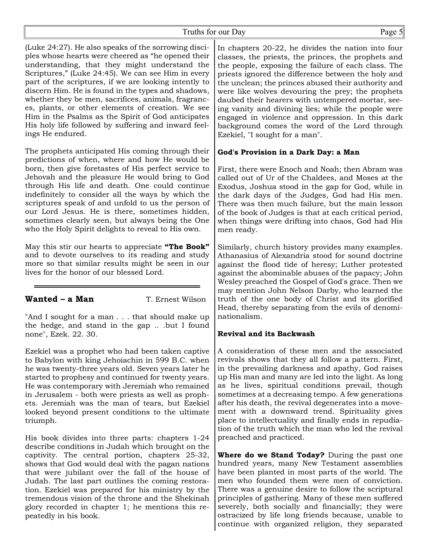(Luke 24:27). He also speaks of the sorrowing disciples whose hearts were cheered as "he opened their understanding, that they might understand the Scriptures," (Luke 24:45). We can see Him in every part of the scriptures, if we are looking intently to discern Him. He is found in the types and shadows, whether they be men, sacrifices, animals, fragrances, plants, or other elements of creation. We see Him in the Psalms as the Spirit of God anticipates His holy life followed by suffering and inward feelings He endured.

The prophets anticipated His coming through their predictions of when, where and how He would be born, then give foretastes of His perfect service to Jehovah and the pleasure He would bring to God through His life and death. One could continue indefinitely to consider all the ways by which the scriptures speak of and unfold to us the person of our Lord Jesus. He is there, sometimes hidden, sometimes clearly seen, but always being the One who the Holy Spirit delights to reveal to His own.

May this stir our hearts to appreciate **"The Book"** and to devote ourselves to its reading and study more so that similar results might be seen in our lives for the honor of our blessed Lord.

# **Wanted – a Man** T. Ernest Wilson

"And I sought for a man . . . that should make up the hedge, and stand in the gap .. .but I found none", Ezek. 22. 30.

Ezekiel was a prophet who had been taken captive to Babylon with king Jehoiachin in 599 B.C. when he was twenty-three years old. Seven years later he started to prophesy and continued for twenty years. He was contemporary with Jeremiah who remained in Jerusalem - both were priests as well as prophets. Jeremiah was the man of tears, but Ezekiel looked beyond present conditions to the ultimate triumph.

His book divides into three parts: chapters 1-24 describe conditions in Judah which brought on the captivity. The central portion, chapters 25-32, shows that God would deal with the pagan nations that were jubilant over the fall of the house of Judah. The last part outlines the coming restoration. Ezekiel was prepared for his ministry by the tremendous vision of the throne and the Shekinah glory recorded in chapter 1; he mentions this repeatedly in his book.

In chapters 20-22, he divides the nation into four classes, the priests, the princes, the prophets and the people, exposing the failure of each class. The priests ignored the difference between the holy and the unclean; the princes abused their authority and were like wolves devouring the prey; the prophets daubed their hearers with untempered mortar, seeing vanity and divining lies; while the people were engaged in violence and oppression. In this dark background comes the word of the Lord through Ezekiel, "I sought for a man".

# **God's Provision in a Dark Day: a Man**

First, there were Enoch and Noah; then Abram was called out of Ur of the Chaldees, and Moses at the Exodus, Joshua stood in the gap for God, while in the dark days of the Judges, God had His men. There was then much failure, but the main lesson of the book of Judges is that at each critical period, when things were drifting into chaos, God had His men ready.

Similarly, church history provides many examples. Athanasius of Alexandria stood for sound doctrine against the flood tide of heresy; Luther protested against the abominable abuses of the papacy; John Wesley preached the Gospel of God's grace. Then we may mention John Nelson Darby, who learned the truth of the one body of Christ and its glorified Head, thereby separating from the evils of denominationalism.

# **Revival and its Backwash**

A consideration of these men and the associated revivals shows that they all follow a pattern. First, in the prevailing darkness and apathy, God raises up His man and many are led into the light. As long as he lives, spiritual conditions prevail, though sometimes at a decreasing tempo. A few generations after his death, the revival degenerates into a movement with a downward trend. Spirituality gives place to intellectuality and finally ends in repudiation of the truth which the man who led the revival preached and practiced.

**Where do we Stand Today?** During the past one hundred years, many New Testament assemblies have been planted in most parts of the world. The men who founded them were men of conviction. There was a genuine desire to follow the scriptural principles of gathering. Many of these men suffered severely, both socially and financially; they were ostracized by life long friends because, unable to continue with organized religion, they separated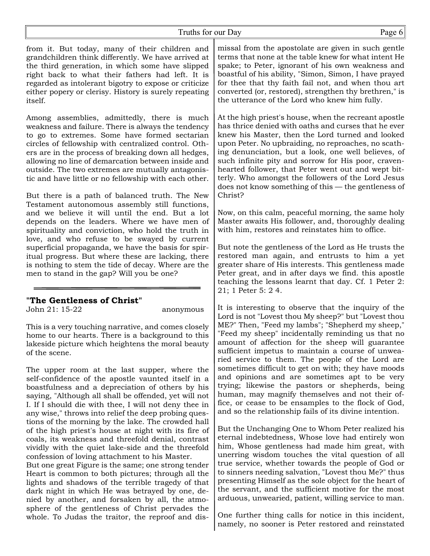from it. But today, many of their children and grandchildren think differently. We have arrived at the third generation, in which some have slipped right back to what their fathers had left. It is regarded as intolerant bigotry to expose or criticize either popery or clerisy. History is surely repeating itself.

Among assemblies, admittedly, there is much weakness and failure. There is always the tendency to go to extremes. Some have formed sectarian circles of fellowship with centralized control. Others are in the process of breaking down all hedges, allowing no line of demarcation between inside and outside. The two extremes are mutually antagonistic and have little or no fellowship with each other.

But there is a path of balanced truth. The New Testament autonomous assembly still functions, and we believe it will until the end. But a lot depends on the leaders. Where we have men of spirituality and conviction, who hold the truth in love, and who refuse to be swayed by current superficial propaganda, we have the basis for spiritual progress. But where these are lacking, there is nothing to stem the tide of decay. Where are the men to stand in the gap? Will you be one?

#### **"The Gentleness of Christ"**

John 21: 15-22 anonymous

This is a very touching narrative, and comes closely home to our hearts. There is a background to this lakeside picture which heightens the moral beauty of the scene.

The upper room at the last supper, where the self-confidence of the apostle vaunted itself in a boastfulness and a depreciation of others by his saying, "Although all shall be offended, yet will not I. If I should die with thee, I will not deny thee in any wise," throws into relief the deep probing questions of the morning by the lake. The crowded hall of the high priest's house at night with its fire of coals, its weakness and threefold denial, contrast vividly with the quiet lake-side and the threefold confession of loving attachment to his Master.

But one great Figure is the same; one strong tender Heart is common to both pictures; through all the lights and shadows of the terrible tragedy of that dark night in which He was betrayed by one, denied by another, and forsaken by all, the atmosphere of the gentleness of Christ pervades the whole. To Judas the traitor, the reproof and dismissal from the apostolate are given in such gentle terms that none at the table knew for what intent He spake; to Peter, ignorant of his own weakness and boastful of his ability, "Simon, Simon, I have prayed for thee that thy faith fail not, and when thou art converted (or, restored), strengthen thy brethren," is the utterance of the Lord who knew him fully.

At the high priest's house, when the recreant apostle has thrice denied with oaths and curses that he ever knew his Master, then the Lord turned and looked upon Peter. No upbraiding, no reproaches, no scathing denunciation, but a look, one well believes, of such infinite pity and sorrow for His poor, cravenhearted follower, that Peter went out and wept bitterly. Who amongst the followers of the Lord Jesus does not know something of this — the gentleness of Christ?

Now, on this calm, peaceful morning, the same holy Master awaits His follower, and, thoroughly dealing with him, restores and reinstates him to office.

But note the gentleness of the Lord as He trusts the restored man again, and entrusts to him a yet greater share of His interests. This gentleness made Peter great, and in after days we find. this apostle teaching the lessons learnt that day. Cf. 1 Peter 2: 21; 1 Peter 5: 2 4.

It is interesting to observe that the inquiry of the Lord is not "Lovest thou My sheep?" but "Lovest thou ME?" Then, "Feed my lambs"; "Shepherd my sheep," "Feed my sheep" incidentally reminding us that no amount of affection for the sheep will guarantee sufficient impetus to maintain a course of unwearied service to them. The people of the Lord are sometimes difficult to get on with; they have moods and opinions and are sometimes apt to be very trying; likewise the pastors or shepherds, being human, may magnify themselves and not their office, or cease to be ensamples to the flock of God, and so the relationship fails of its divine intention.

But the Unchanging One to Whom Peter realized his eternal indebtedness, Whose love had entirely won him, Whose gentleness had made him great, with unerring wisdom touches the vital question of all true service, whether towards the people of God or to sinners needing salvation, "Lovest thou Me?" thus presenting Himself as the sole object for the heart of the servant, and the sufficient motive for the most arduous, unwearied, patient, willing service to man.

One further thing calls for notice in this incident, namely, no sooner is Peter restored and reinstated